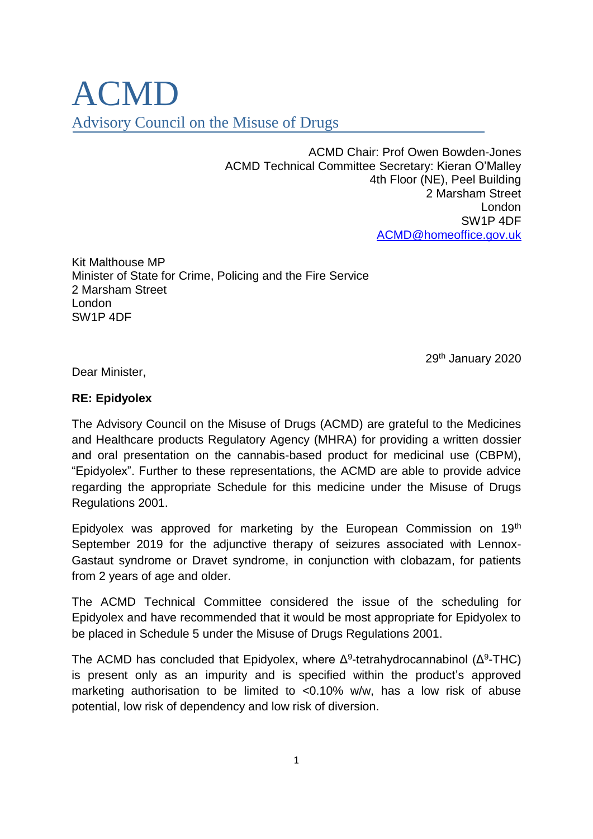## ACMD Advisory Council on the Misuse of Drugs

ACMD Chair: Prof Owen Bowden-Jones ACMD Technical Committee Secretary: Kieran O'Malley 4th Floor (NE), Peel Building 2 Marsham Street London SW1P 4DF [ACMD@homeoffice.gov.uk](mailto:ACMD@homeoffice.gov.uk) 

Kit Malthouse MP Minister of State for Crime, Policing and the Fire Service 2 Marsham Street London SW1P 4DF

29<sup>th</sup> January 2020

Dear Minister,

## **RE: Epidyolex**

The Advisory Council on the Misuse of Drugs (ACMD) are grateful to the Medicines and Healthcare products Regulatory Agency (MHRA) for providing a written dossier and oral presentation on the cannabis-based product for medicinal use (CBPM), "Epidyolex". Further to these representations, the ACMD are able to provide advice regarding the appropriate Schedule for this medicine under the Misuse of Drugs Regulations 2001.

Epidyolex was approved for marketing by the European Commission on 19th September 2019 for the adjunctive therapy of seizures associated with Lennox-Gastaut syndrome or Dravet syndrome, in conjunction with clobazam, for patients from 2 years of age and older.

The ACMD Technical Committee considered the issue of the scheduling for Epidyolex and have recommended that it would be most appropriate for Epidyolex to be placed in Schedule 5 under the Misuse of Drugs Regulations 2001.

The ACMD has concluded that Epidyolex, where  $\Delta^9$ -tetrahydrocannabinol ( $\Delta^9$ -THC) is present only as an impurity and is specified within the product's approved marketing authorisation to be limited to <0.10% w/w, has a low risk of abuse potential, low risk of dependency and low risk of diversion.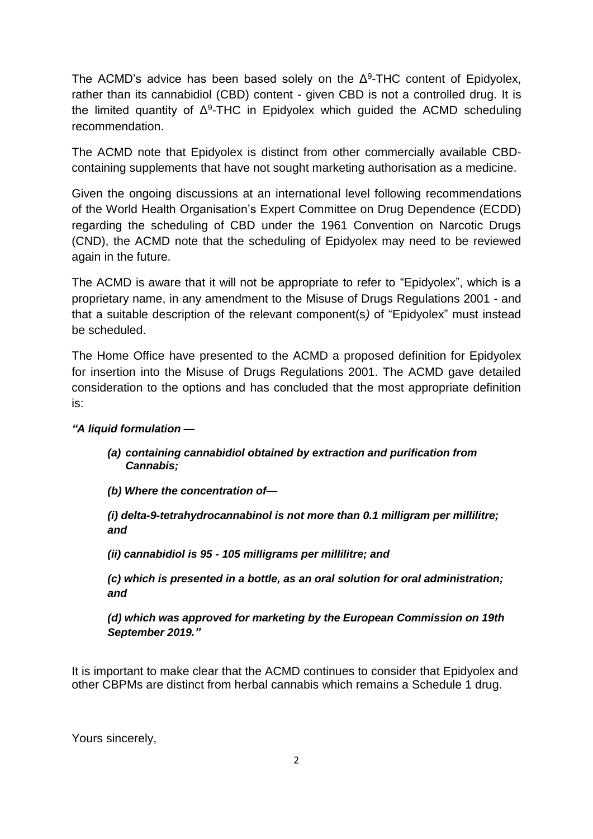The ACMD's advice has been based solely on the  $\Delta^9$ -THC content of Epidyolex, rather than its cannabidiol (CBD) content - given CBD is not a controlled drug. It is the limited quantity of  $\Delta^9$ -THC in Epidyolex which guided the ACMD scheduling recommendation.

The ACMD note that Epidyolex is distinct from other commercially available CBDcontaining supplements that have not sought marketing authorisation as a medicine.

Given the ongoing discussions at an international level following recommendations of the World Health Organisation's Expert Committee on Drug Dependence (ECDD) regarding the scheduling of CBD under the 1961 Convention on Narcotic Drugs (CND), the ACMD note that the scheduling of Epidyolex may need to be reviewed again in the future.

The ACMD is aware that it will not be appropriate to refer to "Epidyolex", which is a proprietary name, in any amendment to the Misuse of Drugs Regulations 2001 - and that a suitable description of the relevant component(s*)* of "Epidyolex" must instead be scheduled.

The Home Office have presented to the ACMD a proposed definition for Epidyolex for insertion into the Misuse of Drugs Regulations 2001. The ACMD gave detailed consideration to the options and has concluded that the most appropriate definition is:

## *"A liquid formulation —*

*(a) containing cannabidiol obtained by extraction and purification from Cannabis;* 

*(b) Where the concentration of—*

*(i) delta-9-tetrahydrocannabinol is not more than 0.1 milligram per millilitre; and*

*(ii) cannabidiol is 95 - 105 milligrams per millilitre; and*

*(c) which is presented in a bottle, as an oral solution for oral administration; and* 

*(d) which was approved for marketing by the European Commission on 19th September 2019."*

It is important to make clear that the ACMD continues to consider that Epidyolex and other CBPMs are distinct from herbal cannabis which remains a Schedule 1 drug.

Yours sincerely,